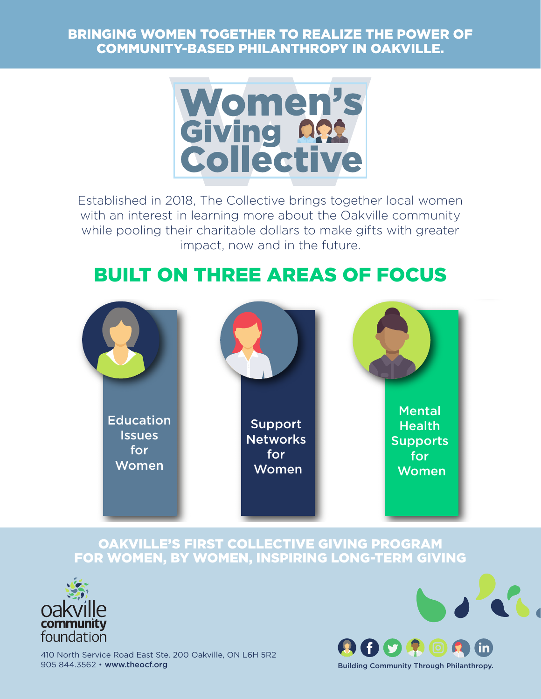#### BRINGING WOMEN TOGETHER TO REALIZE THE POWER OF COMMUNITY-BASED PHILANTHROPY IN OAKVILLE.



Established in 2018, The Collective brings together local women with an interest in learning more about the Oakville community while pooling their charitable dollars to make gifts with greater impact, now and in the future.

# BUILT ON THREE AREAS OF FOCUS



#### OAKVILLE'S FIRST COLLECTIVE GIVING PROGRAM FOR WOMEN, BY WOMEN, INSPIRING LONG-TERM GIVING



410 North Service Road East Ste. 200 Oakville, ON L6H 5R2 905 844.3562 • www.theocf.org

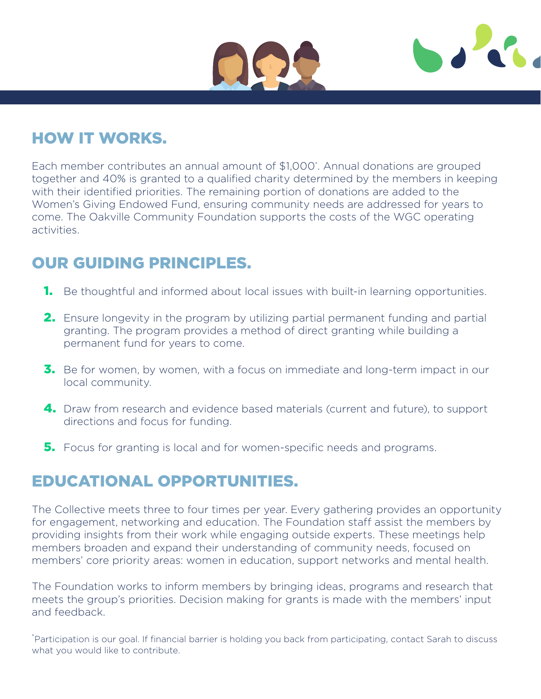



## HOW IT WORKS.

Each member contributes an annual amount of \$1,000\* . Annual donations are grouped together and 40% is granted to a qualified charity determined by the members in keeping with their identified priorities. The remaining portion of donations are added to the Women's Giving Endowed Fund, ensuring community needs are addressed for years to come. The Oakville Community Foundation supports the costs of the WGC operating activities.

## OUR GUIDING PRINCIPLES.

- **1.** Be thoughtful and informed about local issues with built-in learning opportunities.
- **2.** Ensure longevity in the program by utilizing partial permanent funding and partial granting. The program provides a method of direct granting while building a permanent fund for years to come.
- **3.** Be for women, by women, with a focus on immediate and long-term impact in our local community.
- 4. Draw from research and evidence based materials (current and future), to support directions and focus for funding.
- **5.** Focus for granting is local and for women-specific needs and programs.

### EDUCATIONAL OPPORTUNITIES.

The Collective meets three to four times per year. Every gathering provides an opportunity for engagement, networking and education. The Foundation staff assist the members by providing insights from their work while engaging outside experts. These meetings help members broaden and expand their understanding of community needs, focused on members' core priority areas: women in education, support networks and mental health.

The Foundation works to inform members by bringing ideas, programs and research that meets the group's priorities. Decision making for grants is made with the members' input and feedback.

\*Participation is our goal. If financial barrier is holding you back from participating, contact Sarah to discuss what you would like to contribute.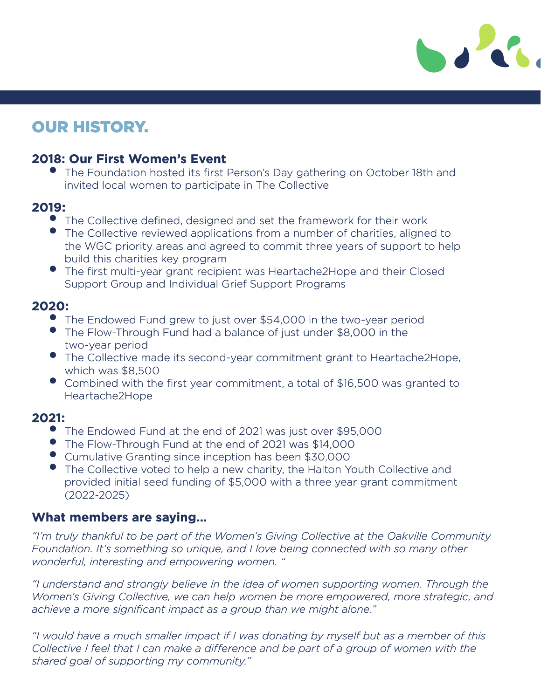

### OUR HISTORY.

#### **2018: Our First Women's Event**

• The Foundation hosted its first Person's Day gathering on October 18th and invited local women to participate in The Collective

#### **2019:**

- The Collective defined, designed and set the framework for their work
- The Collective reviewed applications from a number of charities, aligned to the WGC priority areas and agreed to commit three years of support to help build this charities key program
- The first multi-year grant recipient was Heartache2Hope and their Closed Support Group and Individual Grief Support Programs

#### **2020:**

- The Endowed Fund grew to just over \$54,000 in the two-year period
- The Flow-Through Fund had a balance of just under \$8,000 in the two-year period
- The Collective made its second-year commitment grant to Heartache2Hope, which was \$8,500 Flow-Through Fund had a balance of just under \$8,C<br>
year period<br>
Collective made its second-year commitment grant is<br>
th was \$8,500<br>
Ibined with the first year commitment, a total of \$16,<br>
tache2Hope<br>
Endowed Fund at the e
- Combined with the first year commitment, a total of \$16,500 was granted to Heartache2Hope

#### **2021:**

- The Endowed Fund at the end of 2021 was just over \$95,000
- The Flow-Through Fund at the end of 2021 was \$14,000
- Cumulative Granting since inception has been \$30,000
- The Collective voted to help a new charity, the Halton Youth Collective and provided initial seed funding of \$5,000 with a three year grant commitment (2022-2025)

#### **What members are saying…**

*"I'm truly thankful to be part of the Women's Giving Collective at the Oakville Community Foundation. It's something so unique, and I love being connected with so many other wonderful, interesting and empowering women. "* 

*"I understand and strongly believe in the idea of women supporting women. Through the Women's Giving Collective, we can help women be more empowered, more strategic, and achieve a more significant impact as a group than we might alone."* 

*"I would have a much smaller impact if I was donating by myself but as a member of this Collective I feel that I can make a difference and be part of a group of women with the shared goal of supporting my community."*